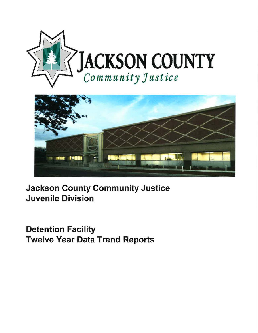



Jackson County Community Justice Juvenile Division

Detention Facility Twelve Year Data Trend Reports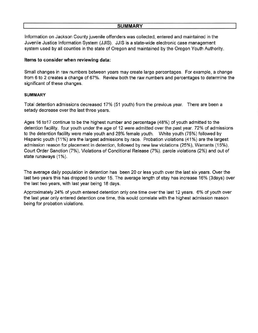## **SUMMARY**

Information on Jackson County juvenile offenders was collected, entered and maintained in the Juvenile Justice Information System (JJIS). JJIS is a state-wide electronic case management system used by all counties in the state of Oregon and maintained by the Oregon Youth Authority.

## **Items to consider when reviewing data:**

Small changes in raw numbers between years may create large percentages. For example, a change from 6 to 2 creates a change of 67%. Review both the raw numbers and percentages to determine the significant of these changes.

## **SUMMARY**

Total detention admissions decreased 17% (51 youth) from the previous year. There are been a setady decrease over the last three years.

Ages 16 to17 continue to be the highest number and percentage (48%) of youth admitted to the detention facility. four youth under the age of 12 were admitted over the past year. 72% of admissions to the detention facility were male youth and 28% female youth. White youth (75%) followed by Hispanic youth (11%) are the largest admissions by race. Probation violations (41%) are the largest admission reason for placement in detention, followed by new law violations (25%), Warrants (15%), Court Order Sanction (7%), Violations of Conditional Release (7%), parole violations (2%) and out of state runaways (1%).

The average daily population in detention has been 20 or less youth over the last six years. Over the last two years this has dropped to under 15. The average length of stay has increase 16% (3days) over the last two years, with last year being 18 days.

Approximately 24% of youth entered detention only one time over the last 12 years. 6% of youth over the last year only entered detention one time, this would correlate with the highest admission reason being for probation violations.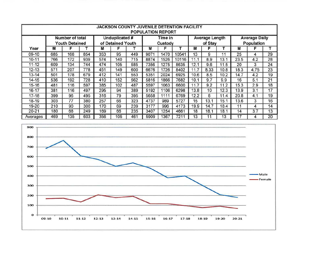| <b>JACKSON COUNTY JUVENILE DETENTION FACILITY</b><br><b>POPULATION REPORT</b> |     |                                          |     |     |                                            |     |      |                    |       |      |                                  |      |                                    |      |    |  |
|-------------------------------------------------------------------------------|-----|------------------------------------------|-----|-----|--------------------------------------------|-----|------|--------------------|-------|------|----------------------------------|------|------------------------------------|------|----|--|
|                                                                               |     | Number of total<br><b>Youth Detained</b> |     |     | <b>Unduplicated #</b><br>of Detained Youth |     |      | Time in<br>Custody |       |      | <b>Average Length</b><br>of Stay |      | <b>Average Daily</b><br>Population |      |    |  |
| Year                                                                          | м   | F                                        |     | м   | F                                          |     | M    | F                  |       | M    | F                                |      | M                                  | F    |    |  |
| 09-10                                                                         | 685 | 168                                      | 854 | 353 | 95                                         | 449 | 9071 | 1470               | 10541 | 13   | 9                                | 11   | 25                                 | 4    | 29 |  |
| $10 - 11$                                                                     | 766 | 172                                      | 939 | 574 | 140                                        | 715 | 8874 | 1526               | 10116 | 11.1 | 8.9                              | 13.1 | 23.5                               | 4.2  | 28 |  |
| $11 - 12$                                                                     | 609 | 134                                      | 744 | 474 | 105                                        | 585 | 7356 | 1275               | 8635  | 12.1 | 9.6                              | 11.5 | 20                                 | 3    | 24 |  |
| $12 - 13$                                                                     | 571 | 207                                      | 778 | 451 | 149                                        | 600 | 6676 | 1726               | 8402  | 11.7 | 8.33                             | 10.8 | 18.3                               | 4.75 | 23 |  |
| $13 - 14$                                                                     | 501 | 178                                      | 679 | 412 | 141                                        | 553 | 5351 | 2024               | 6925  | 10.6 | 8.5                              | 10.2 | 14.7                               | 4.2  | 19 |  |
| $14 - 15$                                                                     | 536 | 192                                      | 728 | 410 | 152                                        | 562 | 5816 | 1866               | 7682  | 10.1 | 9.7                              | 9.9  | 16                                 | 5.1  | 21 |  |
| $15 - 16$                                                                     | 481 | 116                                      | 597 | 385 | 102                                        | 487 | 5597 | 1063               | 6600  | 11.7 | 9.2                              | 11.2 | 15.3                               | 2.9  | 18 |  |
| 16-17                                                                         | 381 | 116                                      | 497 | 295 | 94                                         | 389 | 5192 | 1106               | 6298  | 13.8 | 10                               | 12.3 | 13.9                               | 3.1  | 17 |  |
| $17 - 18$                                                                     | 399 | 96                                       | 495 | 316 | 79                                         | 395 | 5658 | 1111               | 6769  | 12.2 | 8                                | 11.4 | 20.8                               | 4.1  | 19 |  |
| 18-19                                                                         | 303 | 77                                       | 380 | 257 | 66                                         | 323 | 4737 | 989                | 5727  | 15   | 13.1                             | 15.1 | 13.6                               | 3    | 16 |  |
| 19-20                                                                         | 210 | 90                                       | 300 | 170 | 69                                         | 239 | 3177 | 996                | 4173  | 19.9 | 14.7                             | 18.4 | 11                                 | 4    | 14 |  |
| $20 - 21$                                                                     | 180 | 68                                       | 249 | 169 | 66                                         | 235 | 3407 | 1254               | 4661  | 18   | 18.1                             | 18.1 | 14                                 | 3.7  | 13 |  |
| Averages                                                                      | 469 | 135                                      | 603 | 356 | 105                                        | 461 | 5909 | 1367               | 7211  | 13   |                                  | 13   | 17                                 | 4    | 20 |  |